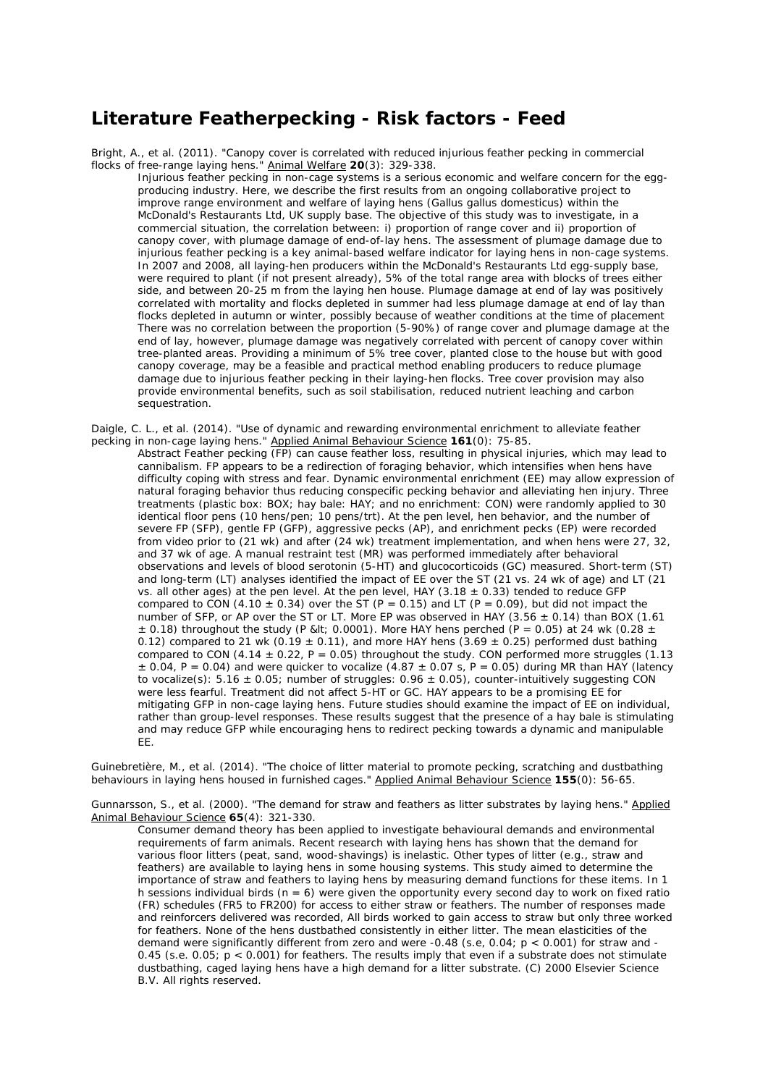## **Literature Featherpecking - Risk factors - Feed**

Bright, A., et al. (2011). "Canopy cover is correlated with reduced injurious feather pecking in commercial flocks of free-range laying hens." Animal Welfare **20**(3): 329-338.

Injurious feather pecking in non-cage systems is a serious economic and welfare concern for the eggproducing industry. Here, we describe the first results from an ongoing collaborative project to improve range environment and welfare of laying hens (Gallus gallus domesticus) within the McDonald's Restaurants Ltd, UK supply base. The objective of this study was to investigate, in a commercial situation, the correlation between: i) proportion of range cover and ii) proportion of canopy cover, with plumage damage of end-of-lay hens. The assessment of plumage damage due to injurious feather pecking is a key animal-based welfare indicator for laying hens in non-cage systems. In 2007 and 2008, all laying-hen producers within the McDonald's Restaurants Ltd egg-supply base, were required to plant (if not present already), 5% of the total range area with blocks of trees either side, and between 20-25 m from the laying hen house. Plumage damage at end of lay was positively correlated with mortality and flocks depleted in summer had less plumage damage at end of lay than flocks depleted in autumn or winter, possibly because of weather conditions at the time of placement There was no correlation between the proportion (5-90%) of range cover and plumage damage at the end of lay, however, plumage damage was negatively correlated with percent of canopy cover within tree-planted areas. Providing a minimum of 5% tree cover, planted close to the house but with good canopy coverage, may be a feasible and practical method enabling producers to reduce plumage damage due to injurious feather pecking in their laying-hen flocks. Tree cover provision may also provide environmental benefits, such as soil stabilisation, reduced nutrient leaching and carbon sequestration.

Daigle, C. L., et al. (2014). "Use of dynamic and rewarding environmental enrichment to alleviate feather pecking in non-cage laying hens." Applied Animal Behaviour Science **161**(0): 75-85.

Abstract Feather pecking (FP) can cause feather loss, resulting in physical injuries, which may lead to cannibalism. FP appears to be a redirection of foraging behavior, which intensifies when hens have difficulty coping with stress and fear. Dynamic environmental enrichment (EE) may allow expression of natural foraging behavior thus reducing conspecific pecking behavior and alleviating hen injury. Three treatments (plastic box: BOX; hay bale: HAY; and no enrichment: CON) were randomly applied to 30 identical floor pens (10 hens/pen; 10 pens/trt). At the pen level, hen behavior, and the number of severe FP (SFP), gentle FP (GFP), aggressive pecks (AP), and enrichment pecks (EP) were recorded from video prior to (21 wk) and after (24 wk) treatment implementation, and when hens were 27, 32, and 37 wk of age. A manual restraint test (MR) was performed immediately after behavioral observations and levels of blood serotonin (5-HT) and glucocorticoids (GC) measured. Short-term (ST) and long-term (LT) analyses identified the impact of EE over the ST (21 vs. 24 wk of age) and LT (21 vs. all other ages) at the pen level. At the pen level, HAY (3.18  $\pm$  0.33) tended to reduce GFP compared to CON (4.10  $\pm$  0.34) over the ST (P = 0.15) and LT (P = 0.09), but did not impact the number of SFP, or AP over the ST or LT. More EP was observed in HAY (3.56  $\pm$  0.14) than BOX (1.61  $\pm$  0.18) throughout the study (P &It; 0.0001). More HAY hens perched (P = 0.05) at 24 wk (0.28  $\pm$ 0.12) compared to 21 wk (0.19  $\pm$  0.11), and more HAY hens (3.69  $\pm$  0.25) performed dust bathing compared to CON (4.14  $\pm$  0.22, P = 0.05) throughout the study. CON performed more struggles (1.13  $\pm$  0.04, P = 0.04) and were quicker to vocalize (4.87  $\pm$  0.07 s, P = 0.05) during MR than HAY (latency to vocalize(s):  $5.16 \pm 0.05$ ; number of struggles:  $0.96 \pm 0.05$ ), counter-intuitively suggesting CON were less fearful. Treatment did not affect 5-HT or GC. HAY appears to be a promising EE for mitigating GFP in non-cage laying hens. Future studies should examine the impact of EE on individual, rather than group-level responses. These results suggest that the presence of a hay bale is stimulating and may reduce GFP while encouraging hens to redirect pecking towards a dynamic and manipulable EE.

Guinebretière, M., et al. (2014). "The choice of litter material to promote pecking, scratching and dustbathing behaviours in laying hens housed in furnished cages." Applied Animal Behaviour Science **155**(0): 56-65.

Gunnarsson, S., et al. (2000). "The demand for straw and feathers as litter substrates by laying hens." Applied Animal Behaviour Science **65**(4): 321-330.

Consumer demand theory has been applied to investigate behavioural demands and environmental requirements of farm animals. Recent research with laying hens has shown that the demand for various floor litters (peat, sand, wood-shavings) is inelastic. Other types of litter (e.g., straw and feathers) are available to laying hens in some housing systems. This study aimed to determine the importance of straw and feathers to laying hens by measuring demand functions for these items. In 1 h sessions individual birds ( $n = 6$ ) were given the opportunity every second day to work on fixed ratio (FR) schedules (FR5 to FR200) for access to either straw or feathers. The number of responses made and reinforcers delivered was recorded, All birds worked to gain access to straw but only three worked for feathers. None of the hens dustbathed consistently in either litter. The mean elasticities of the demand were significantly different from zero and were -0.48 (s.e, 0.04; p < 0.001) for straw and -0.45 (s.e. 0.05;  $p < 0.001$ ) for feathers. The results imply that even if a substrate does not stimulate dustbathing, caged laying hens have a high demand for a litter substrate. (C) 2000 Elsevier Science B.V. All rights reserved.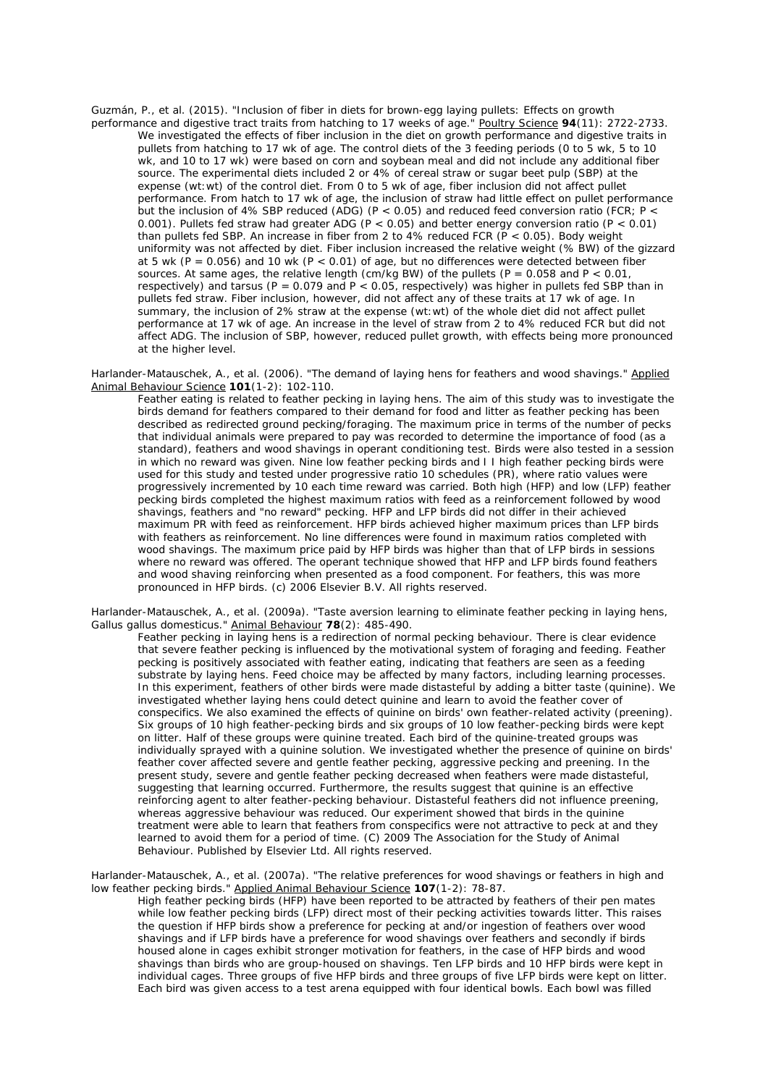Guzmán, P., et al. (2015). "Inclusion of fiber in diets for brown-egg laying pullets: Effects on growth performance and digestive tract traits from hatching to 17 weeks of age." Poultry Science **94**(11): 2722-2733. We investigated the effects of fiber inclusion in the diet on growth performance and digestive traits in pullets from hatching to 17 wk of age. The control diets of the 3 feeding periods (0 to 5 wk, 5 to 10 wk, and 10 to 17 wk) were based on corn and soybean meal and did not include any additional fiber source. The experimental diets included 2 or 4% of cereal straw or sugar beet pulp (SBP) at the expense (wt:wt) of the control diet. From 0 to 5 wk of age, fiber inclusion did not affect pullet performance. From hatch to 17 wk of age, the inclusion of straw had little effect on pullet performance but the inclusion of 4% SBP reduced (ADG) (P < 0.05) and reduced feed conversion ratio (FCR; P < 0.001). Pullets fed straw had greater ADG (P < 0.05) and better energy conversion ratio (P < 0.01) than pullets fed SBP. An increase in fiber from 2 to  $4\%$  reduced FCR  $(P < 0.05)$ . Body weight uniformity was not affected by diet. Fiber inclusion increased the relative weight (% BW) of the gizzard at 5 wk ( $P = 0.056$ ) and 10 wk ( $P < 0.01$ ) of age, but no differences were detected between fiber sources. At same ages, the relative length (cm/kg BW) of the pullets (P =  $0.058$  and P <  $0.01$ , respectively) and tarsus (P = 0.079 and P < 0.05, respectively) was higher in pullets fed SBP than in pullets fed straw. Fiber inclusion, however, did not affect any of these traits at 17 wk of age. In summary, the inclusion of 2% straw at the expense (wt:wt) of the whole diet did not affect pullet performance at 17 wk of age. An increase in the level of straw from 2 to 4% reduced FCR but did not affect ADG. The inclusion of SBP, however, reduced pullet growth, with effects being more pronounced at the higher level.

Harlander-Matauschek, A., et al. (2006). "The demand of laying hens for feathers and wood shavings." Applied Animal Behaviour Science **101**(1-2): 102-110.

Feather eating is related to feather pecking in laying hens. The aim of this study was to investigate the birds demand for feathers compared to their demand for food and litter as feather pecking has been described as redirected ground pecking/foraging. The maximum price in terms of the number of pecks that individual animals were prepared to pay was recorded to determine the importance of food (as a standard), feathers and wood shavings in operant conditioning test. Birds were also tested in a session in which no reward was given. Nine low feather pecking birds and I I high feather pecking birds were used for this study and tested under progressive ratio 10 schedules (PR), where ratio values were progressively incremented by 10 each time reward was carried. Both high (HFP) and low (LFP) feather pecking birds completed the highest maximum ratios with feed as a reinforcement followed by wood shavings, feathers and "no reward" pecking. HFP and LFP birds did not differ in their achieved maximum PR with feed as reinforcement. HFP birds achieved higher maximum prices than LFP birds with feathers as reinforcement. No line differences were found in maximum ratios completed with wood shavings. The maximum price paid by HFP birds was higher than that of LFP birds in sessions where no reward was offered. The operant technique showed that HFP and LFP birds found feathers and wood shaving reinforcing when presented as a food component. For feathers, this was more pronounced in HFP birds. (c) 2006 Elsevier B.V. All rights reserved.

Harlander-Matauschek, A., et al. (2009a). "Taste aversion learning to eliminate feather pecking in laying hens, Gallus gallus domesticus." Animal Behaviour **78**(2): 485-490.

Feather pecking in laying hens is a redirection of normal pecking behaviour. There is clear evidence that severe feather pecking is influenced by the motivational system of foraging and feeding. Feather pecking is positively associated with feather eating, indicating that feathers are seen as a feeding substrate by laying hens. Feed choice may be affected by many factors, including learning processes. In this experiment, feathers of other birds were made distasteful by adding a bitter taste (quinine). We investigated whether laying hens could detect quinine and learn to avoid the feather cover of conspecifics. We also examined the effects of quinine on birds' own feather-related activity (preening). Six groups of 10 high feather-pecking birds and six groups of 10 low feather-pecking birds were kept on litter. Half of these groups were quinine treated. Each bird of the quinine-treated groups was individually sprayed with a quinine solution. We investigated whether the presence of quinine on birds' feather cover affected severe and gentle feather pecking, aggressive pecking and preening. In the present study, severe and gentle feather pecking decreased when feathers were made distasteful, suggesting that learning occurred. Furthermore, the results suggest that quinine is an effective reinforcing agent to alter feather-pecking behaviour. Distasteful feathers did not influence preening, whereas aggressive behaviour was reduced. Our experiment showed that birds in the quinine treatment were able to learn that feathers from conspecifics were not attractive to peck at and they learned to avoid them for a period of time. (C) 2009 The Association for the Study of Animal Behaviour. Published by Elsevier Ltd. All rights reserved.

Harlander-Matauschek, A., et al. (2007a). "The relative preferences for wood shavings or feathers in high and low feather pecking birds." Applied Animal Behaviour Science **107**(1-2): 78-87.

High feather pecking birds (HFP) have been reported to be attracted by feathers of their pen mates while low feather pecking birds (LFP) direct most of their pecking activities towards litter. This raises the question if HFP birds show a preference for pecking at and/or ingestion of feathers over wood shavings and if LFP birds have a preference for wood shavings over feathers and secondly if birds housed alone in cages exhibit stronger motivation for feathers, in the case of HFP birds and wood shavings than birds who are group-housed on shavings. Ten LFP birds and 10 HFP birds were kept in individual cages. Three groups of five HFP birds and three groups of five LFP birds were kept on litter. Each bird was given access to a test arena equipped with four identical bowls. Each bowl was filled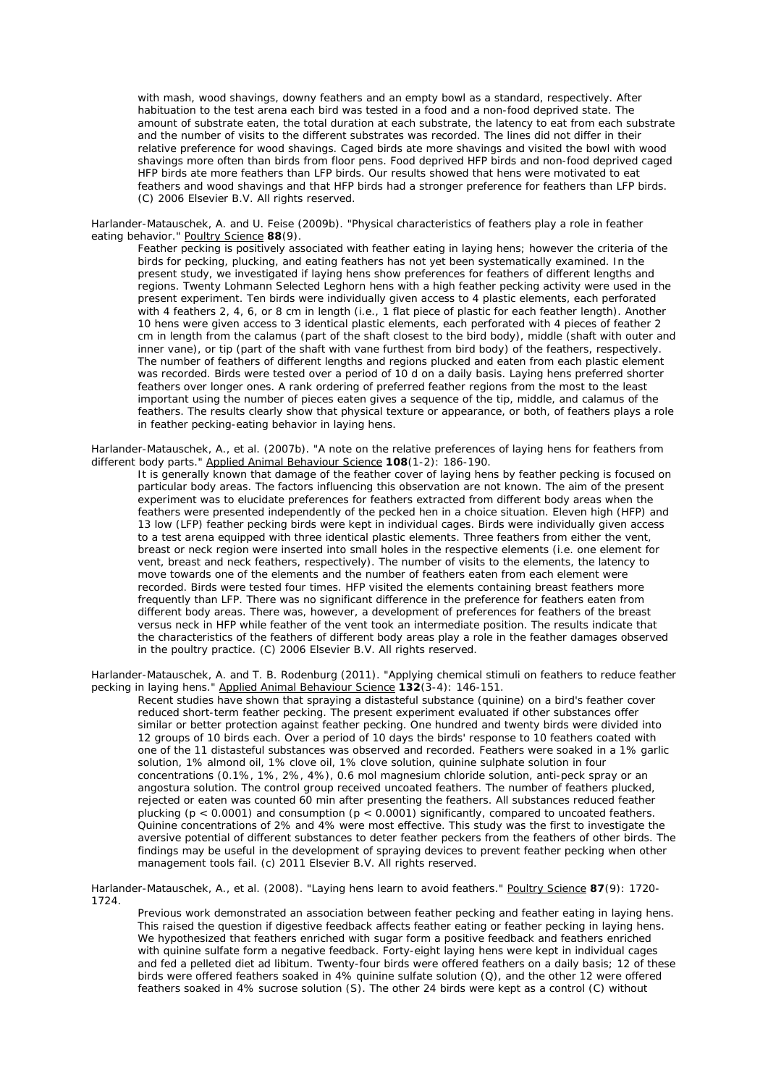with mash, wood shavings, downy feathers and an empty bowl as a standard, respectively. After habituation to the test arena each bird was tested in a food and a non-food deprived state. The amount of substrate eaten, the total duration at each substrate, the latency to eat from each substrate and the number of visits to the different substrates was recorded. The lines did not differ in their relative preference for wood shavings. Caged birds ate more shavings and visited the bowl with wood shavings more often than birds from floor pens. Food deprived HFP birds and non-food deprived caged HFP birds ate more feathers than LFP birds. Our results showed that hens were motivated to eat feathers and wood shavings and that HFP birds had a stronger preference for feathers than LFP birds. (C) 2006 Elsevier B.V. All rights reserved.

Harlander-Matauschek, A. and U. Feise (2009b). "Physical characteristics of feathers play a role in feather eating behavior." Poultry Science **88**(9).

Feather pecking is positively associated with feather eating in laying hens; however the criteria of the birds for pecking, plucking, and eating feathers has not yet been systematically examined. In the present study, we investigated if laying hens show preferences for feathers of different lengths and regions. Twenty Lohmann Selected Leghorn hens with a high feather pecking activity were used in the present experiment. Ten birds were individually given access to 4 plastic elements, each perforated with 4 feathers 2, 4, 6, or 8 cm in length (i.e., 1 flat piece of plastic for each feather length). Another 10 hens were given access to 3 identical plastic elements, each perforated with 4 pieces of feather 2 cm in length from the calamus (part of the shaft closest to the bird body), middle (shaft with outer and inner vane), or tip (part of the shaft with vane furthest from bird body) of the feathers, respectively. The number of feathers of different lengths and regions plucked and eaten from each plastic element was recorded. Birds were tested over a period of 10 d on a daily basis. Laying hens preferred shorter feathers over longer ones. A rank ordering of preferred feather regions from the most to the least important using the number of pieces eaten gives a sequence of the tip, middle, and calamus of the feathers. The results clearly show that physical texture or appearance, or both, of feathers plays a role in feather pecking-eating behavior in laying hens.

Harlander-Matauschek, A., et al. (2007b). "A note on the relative preferences of laying hens for feathers from different body parts." Applied Animal Behaviour Science **108**(1-2): 186-190.

It is generally known that damage of the feather cover of laying hens by feather pecking is focused on particular body areas. The factors influencing this observation are not known. The aim of the present experiment was to elucidate preferences for feathers extracted from different body areas when the feathers were presented independently of the pecked hen in a choice situation. Eleven high (HFP) and 13 low (LFP) feather pecking birds were kept in individual cages. Birds were individually given access to a test arena equipped with three identical plastic elements. Three feathers from either the vent, breast or neck region were inserted into small holes in the respective elements (i.e. one element for vent, breast and neck feathers, respectively). The number of visits to the elements, the latency to move towards one of the elements and the number of feathers eaten from each element were recorded. Birds were tested four times. HFP visited the elements containing breast feathers more frequently than LFP. There was no significant difference in the preference for feathers eaten from different body areas. There was, however, a development of preferences for feathers of the breast versus neck in HFP while feather of the vent took an intermediate position. The results indicate that the characteristics of the feathers of different body areas play a role in the feather damages observed in the poultry practice. (C) 2006 Elsevier B.V. All rights reserved.

Harlander-Matauschek, A. and T. B. Rodenburg (2011). "Applying chemical stimuli on feathers to reduce feather pecking in laying hens." Applied Animal Behaviour Science **132**(3-4): 146-151.

Recent studies have shown that spraying a distasteful substance (quinine) on a bird's feather cover reduced short-term feather pecking. The present experiment evaluated if other substances offer similar or better protection against feather pecking. One hundred and twenty birds were divided into 12 groups of 10 birds each. Over a period of 10 days the birds' response to 10 feathers coated with one of the 11 distasteful substances was observed and recorded. Feathers were soaked in a 1% garlic solution, 1% almond oil, 1% clove oil, 1% clove solution, quinine sulphate solution in four concentrations (0.1%, 1%, 2%, 4%), 0.6 mol magnesium chloride solution, anti-peck spray or an angostura solution. The control group received uncoated feathers. The number of feathers plucked, rejected or eaten was counted 60 min after presenting the feathers. All substances reduced feather plucking ( $p < 0.0001$ ) and consumption ( $p < 0.0001$ ) significantly, compared to uncoated feathers. Quinine concentrations of 2% and 4% were most effective. This study was the first to investigate the aversive potential of different substances to deter feather peckers from the feathers of other birds. The findings may be useful in the development of spraying devices to prevent feather pecking when other management tools fail. (c) 2011 Elsevier B.V. All rights reserved.

Harlander-Matauschek, A., et al. (2008). "Laying hens learn to avoid feathers." Poultry Science **87**(9): 1720- 1724.

Previous work demonstrated an association between feather pecking and feather eating in laying hens. This raised the question if digestive feedback affects feather eating or feather pecking in laying hens. We hypothesized that feathers enriched with sugar form a positive feedback and feathers enriched with quinine sulfate form a negative feedback. Forty-eight laying hens were kept in individual cages and fed a pelleted diet ad libitum. Twenty-four birds were offered feathers on a daily basis; 12 of these birds were offered feathers soaked in 4% quinine sulfate solution (Q), and the other 12 were offered feathers soaked in 4% sucrose solution (S). The other 24 birds were kept as a control (C) without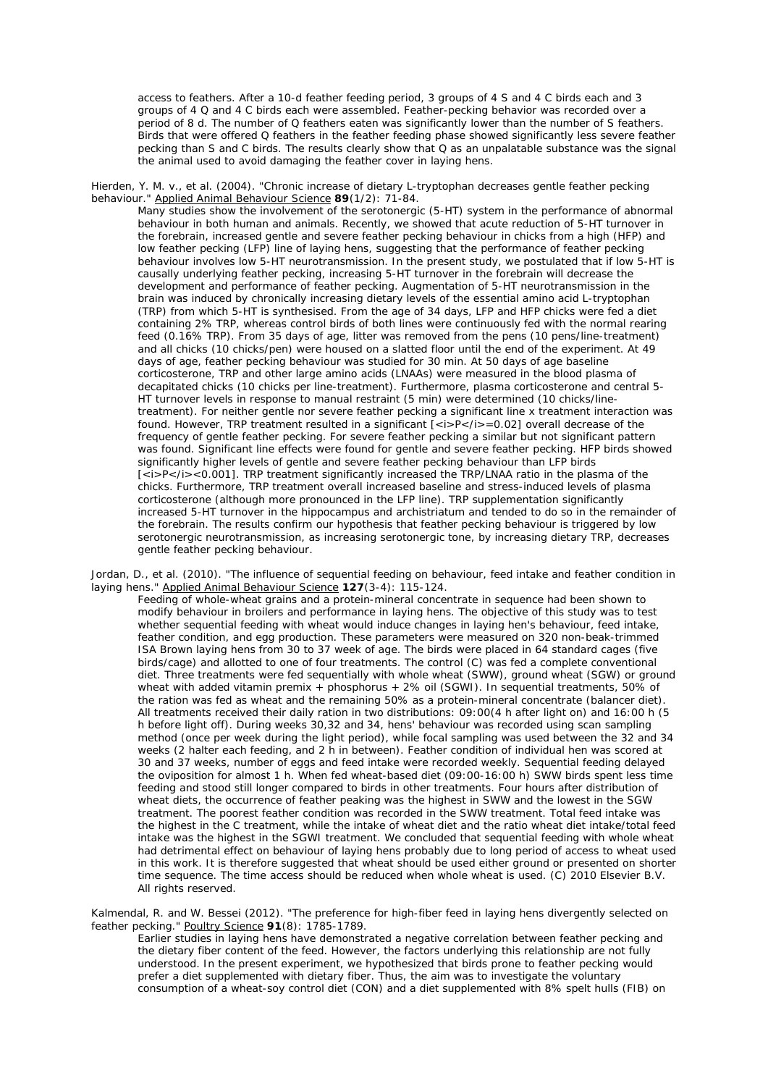access to feathers. After a 10-d feather feeding period, 3 groups of 4 S and 4 C birds each and 3 groups of 4 Q and 4 C birds each were assembled. Feather-pecking behavior was recorded over a period of 8 d. The number of Q feathers eaten was significantly lower than the number of S feathers. Birds that were offered Q feathers in the feather feeding phase showed significantly less severe feather pecking than S and C birds. The results clearly show that Q as an unpalatable substance was the signal the animal used to avoid damaging the feather cover in laying hens.

Hierden, Y. M. v., et al. (2004). "Chronic increase of dietary L-tryptophan decreases gentle feather pecking behaviour." Applied Animal Behaviour Science **89**(1/2): 71-84.

Many studies show the involvement of the serotonergic (5-HT) system in the performance of abnormal behaviour in both human and animals. Recently, we showed that acute reduction of 5-HT turnover in the forebrain, increased gentle and severe feather pecking behaviour in chicks from a high (HFP) and low feather pecking (LFP) line of laying hens, suggesting that the performance of feather pecking behaviour involves low 5-HT neurotransmission. In the present study, we postulated that if low 5-HT is causally underlying feather pecking, increasing 5-HT turnover in the forebrain will decrease the development and performance of feather pecking. Augmentation of 5-HT neurotransmission in the brain was induced by chronically increasing dietary levels of the essential amino acid L-tryptophan (TRP) from which 5-HT is synthesised. From the age of 34 days, LFP and HFP chicks were fed a diet containing 2% TRP, whereas control birds of both lines were continuously fed with the normal rearing feed (0.16% TRP). From 35 days of age, litter was removed from the pens (10 pens/line-treatment) and all chicks (10 chicks/pen) were housed on a slatted floor until the end of the experiment. At 49 days of age, feather pecking behaviour was studied for 30 min. At 50 days of age baseline corticosterone, TRP and other large amino acids (LNAAs) were measured in the blood plasma of decapitated chicks (10 chicks per line-treatment). Furthermore, plasma corticosterone and central 5- HT turnover levels in response to manual restraint (5 min) were determined (10 chicks/linetreatment). For neither gentle nor severe feather pecking a significant line x treatment interaction was found. However, TRP treatment resulted in a significant  $\sqrt{(a^2-b^2)(b^2-0.02)}$  overall decrease of the frequency of gentle feather pecking. For severe feather pecking a similar but not significant pattern was found. Significant line effects were found for gentle and severe feather pecking. HFP birds showed significantly higher levels of gentle and severe feather pecking behaviour than LFP birds  $\sqrt{P}$  / $\sqrt{P}$  / $\sqrt{P}$  / $\sqrt{P}$  / $\sqrt{P}$  treatment significantly increased the TRP/LNAA ratio in the plasma of the chicks. Furthermore, TRP treatment overall increased baseline and stress-induced levels of plasma corticosterone (although more pronounced in the LFP line). TRP supplementation significantly increased 5-HT turnover in the hippocampus and archistriatum and tended to do so in the remainder of the forebrain. The results confirm our hypothesis that feather pecking behaviour is triggered by low serotonergic neurotransmission, as increasing serotonergic tone, by increasing dietary TRP, decreases gentle feather pecking behaviour.

Jordan, D., et al. (2010). "The influence of sequential feeding on behaviour, feed intake and feather condition in laying hens." Applied Animal Behaviour Science **127**(3-4): 115-124.

Feeding of whole-wheat grains and a protein-mineral concentrate in sequence had been shown to modify behaviour in broilers and performance in laying hens. The objective of this study was to test whether sequential feeding with wheat would induce changes in laying hen's behaviour, feed intake, feather condition, and egg production. These parameters were measured on 320 non-beak-trimmed ISA Brown laying hens from 30 to 37 week of age. The birds were placed in 64 standard cages (five birds/cage) and allotted to one of four treatments. The control (C) was fed a complete conventional diet. Three treatments were fed sequentially with whole wheat (SWW), ground wheat (SGW) or ground wheat with added vitamin premix + phosphorus + 2% oil (SGWI). In sequential treatments, 50% of the ration was fed as wheat and the remaining 50% as a protein-mineral concentrate (balancer diet). All treatments received their daily ration in two distributions: 09:00(4 h after light on) and 16:00 h (5 h before light off). During weeks 30,32 and 34, hens' behaviour was recorded using scan sampling method (once per week during the light period), while focal sampling was used between the 32 and 34 weeks (2 halter each feeding, and 2 h in between). Feather condition of individual hen was scored at 30 and 37 weeks, number of eggs and feed intake were recorded weekly. Sequential feeding delayed the oviposition for almost 1 h. When fed wheat-based diet (09:00-16:00 h) SWW birds spent less time feeding and stood still longer compared to birds in other treatments. Four hours after distribution of wheat diets, the occurrence of feather peaking was the highest in SWW and the lowest in the SGW treatment. The poorest feather condition was recorded in the SWW treatment. Total feed intake was the highest in the C treatment, while the intake of wheat diet and the ratio wheat diet intake/total feed intake was the highest in the SGWI treatment. We concluded that sequential feeding with whole wheat had detrimental effect on behaviour of laying hens probably due to long period of access to wheat used in this work. It is therefore suggested that wheat should be used either ground or presented on shorter time sequence. The time access should be reduced when whole wheat is used. (C) 2010 Elsevier B.V. All rights reserved.

Kalmendal, R. and W. Bessei (2012). "The preference for high-fiber feed in laying hens divergently selected on feather pecking." Poultry Science **91**(8): 1785-1789.

Earlier studies in laying hens have demonstrated a negative correlation between feather pecking and the dietary fiber content of the feed. However, the factors underlying this relationship are not fully understood. In the present experiment, we hypothesized that birds prone to feather pecking would prefer a diet supplemented with dietary fiber. Thus, the aim was to investigate the voluntary consumption of a wheat-soy control diet (CON) and a diet supplemented with 8% spelt hulls (FIB) on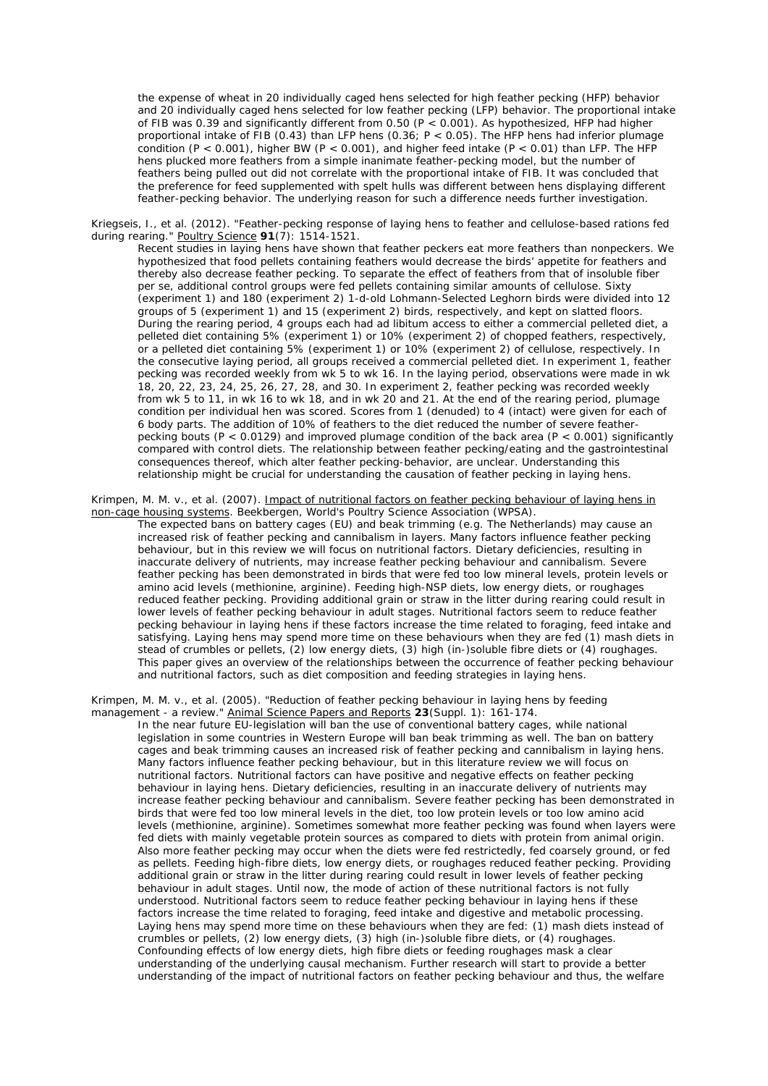the expense of wheat in 20 individually caged hens selected for high feather pecking (HFP) behavior and 20 individually caged hens selected for low feather pecking (LFP) behavior. The proportional intake of FIB was 0.39 and significantly different from 0.50 (P < 0.001). As hypothesized, HFP had higher proportional intake of FIB (0.43) than LFP hens (0.36; P < 0.05). The HFP hens had inferior plumage condition (P < 0.001), higher BW (P < 0.001), and higher feed intake (P < 0.01) than LFP. The HFP hens plucked more feathers from a simple inanimate feather-pecking model, but the number of feathers being pulled out did not correlate with the proportional intake of FIB. It was concluded that the preference for feed supplemented with spelt hulls was different between hens displaying different feather-pecking behavior. The underlying reason for such a difference needs further investigation.

Kriegseis, I., et al. (2012). "Feather-pecking response of laying hens to feather and cellulose-based rations fed during rearing." Poultry Science **91**(7): 1514-1521.

Recent studies in laying hens have shown that feather peckers eat more feathers than nonpeckers. We hypothesized that food pellets containing feathers would decrease the birds' appetite for feathers and thereby also decrease feather pecking. To separate the effect of feathers from that of insoluble fiber per se, additional control groups were fed pellets containing similar amounts of cellulose. Sixty (experiment 1) and 180 (experiment 2) 1-d-old Lohmann-Selected Leghorn birds were divided into 12 groups of 5 (experiment 1) and 15 (experiment 2) birds, respectively, and kept on slatted floors. During the rearing period, 4 groups each had ad libitum access to either a commercial pelleted diet, a pelleted diet containing 5% (experiment 1) or 10% (experiment 2) of chopped feathers, respectively, or a pelleted diet containing 5% (experiment 1) or 10% (experiment 2) of cellulose, respectively. In the consecutive laying period, all groups received a commercial pelleted diet. In experiment 1, feather pecking was recorded weekly from wk 5 to wk 16. In the laying period, observations were made in wk 18, 20, 22, 23, 24, 25, 26, 27, 28, and 30. In experiment 2, feather pecking was recorded weekly from wk 5 to 11, in wk 16 to wk 18, and in wk 20 and 21. At the end of the rearing period, plumage condition per individual hen was scored. Scores from 1 (denuded) to 4 (intact) were given for each of 6 body parts. The addition of 10% of feathers to the diet reduced the number of severe featherpecking bouts (P < 0.0129) and improved plumage condition of the back area (P < 0.001) significantly compared with control diets. The relationship between feather pecking/eating and the gastrointestinal consequences thereof, which alter feather pecking-behavior, are unclear. Understanding this relationship might be crucial for understanding the causation of feather pecking in laying hens.

Krimpen, M. M. v., et al. (2007). Impact of nutritional factors on feather pecking behaviour of laying hens in non-cage housing systems. Beekbergen, World's Poultry Science Association (WPSA).

The expected bans on battery cages (EU) and beak trimming (e.g. The Netherlands) may cause an increased risk of feather pecking and cannibalism in layers. Many factors influence feather pecking behaviour, but in this review we will focus on nutritional factors. Dietary deficiencies, resulting in inaccurate delivery of nutrients, may increase feather pecking behaviour and cannibalism. Severe feather pecking has been demonstrated in birds that were fed too low mineral levels, protein levels or amino acid levels (methionine, arginine). Feeding high-NSP diets, low energy diets, or roughages reduced feather pecking. Providing additional grain or straw in the litter during rearing could result in lower levels of feather pecking behaviour in adult stages. Nutritional factors seem to reduce feather pecking behaviour in laying hens if these factors increase the time related to foraging, feed intake and satisfying. Laying hens may spend more time on these behaviours when they are fed (1) mash diets in stead of crumbles or pellets, (2) low energy diets, (3) high (in-)soluble fibre diets or (4) roughages. This paper gives an overview of the relationships between the occurrence of feather pecking behaviour and nutritional factors, such as diet composition and feeding strategies in laying hens.

Krimpen, M. M. v., et al. (2005). "Reduction of feather pecking behaviour in laying hens by feeding management - a review." Animal Science Papers and Reports **23**(Suppl. 1): 161-174.

In the near future EU-legislation will ban the use of conventional battery cages, while national legislation in some countries in Western Europe will ban beak trimming as well. The ban on battery cages and beak trimming causes an increased risk of feather pecking and cannibalism in laying hens. Many factors influence feather pecking behaviour, but in this literature review we will focus on nutritional factors. Nutritional factors can have positive and negative effects on feather pecking behaviour in laying hens. Dietary deficiencies, resulting in an inaccurate delivery of nutrients may increase feather pecking behaviour and cannibalism. Severe feather pecking has been demonstrated in birds that were fed too low mineral levels in the diet, too low protein levels or too low amino acid levels (methionine, arginine). Sometimes somewhat more feather pecking was found when layers were fed diets with mainly vegetable protein sources as compared to diets with protein from animal origin. Also more feather pecking may occur when the diets were fed restrictedly, fed coarsely ground, or fed as pellets. Feeding high-fibre diets, low energy diets, or roughages reduced feather pecking. Providing additional grain or straw in the litter during rearing could result in lower levels of feather pecking behaviour in adult stages. Until now, the mode of action of these nutritional factors is not fully understood. Nutritional factors seem to reduce feather pecking behaviour in laying hens if these factors increase the time related to foraging, feed intake and digestive and metabolic processing. Laying hens may spend more time on these behaviours when they are fed: (1) mash diets instead of crumbles or pellets, (2) low energy diets, (3) high (in-)soluble fibre diets, or (4) roughages. Confounding effects of low energy diets, high fibre diets or feeding roughages mask a clear understanding of the underlying causal mechanism. Further research will start to provide a better understanding of the impact of nutritional factors on feather pecking behaviour and thus, the welfare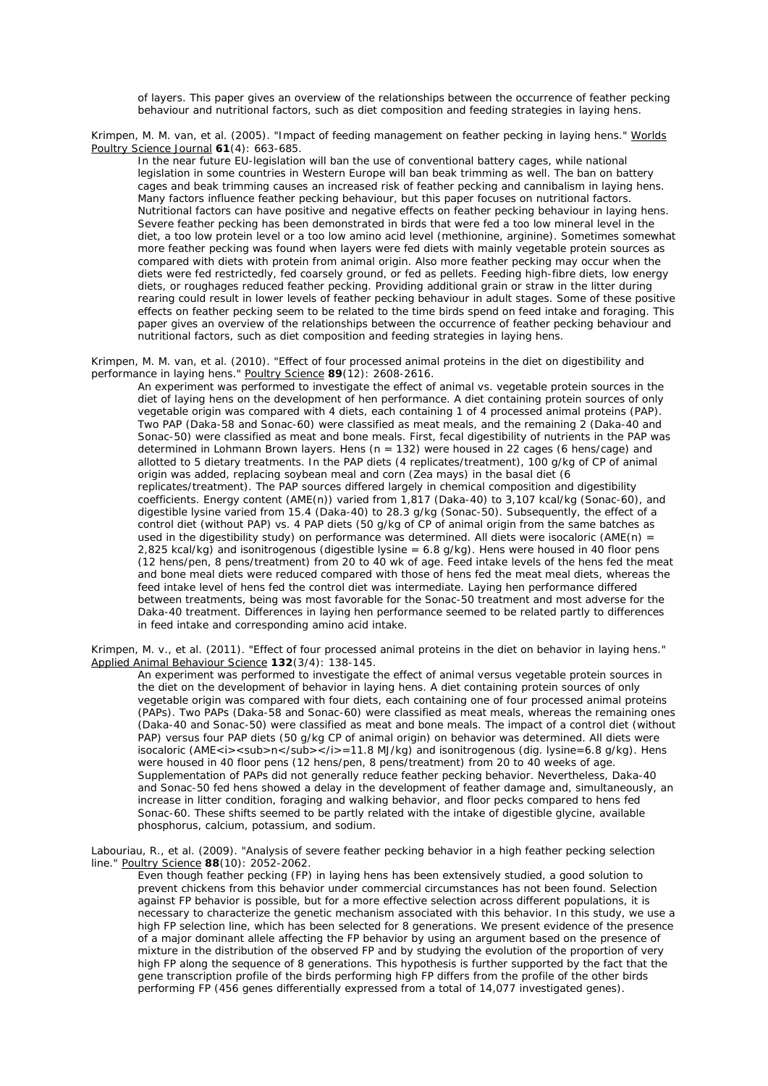of layers. This paper gives an overview of the relationships between the occurrence of feather pecking behaviour and nutritional factors, such as diet composition and feeding strategies in laying hens.

Krimpen, M. M. van, et al. (2005). "Impact of feeding management on feather pecking in laying hens." Worlds Poultry Science Journal **61**(4): 663-685.

In the near future EU-legislation will ban the use of conventional battery cages, while national legislation in some countries in Western Europe will ban beak trimming as well. The ban on battery cages and beak trimming causes an increased risk of feather pecking and cannibalism in laying hens. Many factors influence feather pecking behaviour, but this paper focuses on nutritional factors. Nutritional factors can have positive and negative effects on feather pecking behaviour in laying hens. Severe feather pecking has been demonstrated in birds that were fed a too low mineral level in the diet, a too low protein level or a too low amino acid level (methionine, arginine). Sometimes somewhat more feather pecking was found when layers were fed diets with mainly vegetable protein sources as compared with diets with protein from animal origin. Also more feather pecking may occur when the diets were fed restrictedly, fed coarsely ground, or fed as pellets. Feeding high-fibre diets, low energy diets, or roughages reduced feather pecking. Providing additional grain or straw in the litter during rearing could result in lower levels of feather pecking behaviour in adult stages. Some of these positive effects on feather pecking seem to be related to the time birds spend on feed intake and foraging. This paper gives an overview of the relationships between the occurrence of feather pecking behaviour and nutritional factors, such as diet composition and feeding strategies in laying hens.

Krimpen, M. M. van, et al. (2010). "Effect of four processed animal proteins in the diet on digestibility and performance in laying hens." Poultry Science **89**(12): 2608-2616.

An experiment was performed to investigate the effect of animal vs. vegetable protein sources in the diet of laying hens on the development of hen performance. A diet containing protein sources of only vegetable origin was compared with 4 diets, each containing 1 of 4 processed animal proteins (PAP). Two PAP (Daka-58 and Sonac-60) were classified as meat meals, and the remaining 2 (Daka-40 and Sonac-50) were classified as meat and bone meals. First, fecal digestibility of nutrients in the PAP was determined in Lohmann Brown layers. Hens (n = 132) were housed in 22 cages (6 hens/cage) and allotted to 5 dietary treatments. In the PAP diets (4 replicates/treatment), 100 g/kg of CP of animal origin was added, replacing soybean meal and corn (Zea mays) in the basal diet (6 replicates/treatment). The PAP sources differed largely in chemical composition and digestibility coefficients. Energy content (AME(n)) varied from 1,817 (Daka-40) to 3,107 kcal/kg (Sonac-60), and digestible lysine varied from 15.4 (Daka-40) to 28.3 g/kg (Sonac-50). Subsequently, the effect of a control diet (without PAP) vs. 4 PAP diets (50 g/kg of CP of animal origin from the same batches as used in the digestibility study) on performance was determined. All diets were isocaloric (AME(n) = 2,825 kcal/kg) and isonitrogenous (digestible lysine =  $6.8$  g/kg). Hens were housed in 40 floor pens (12 hens/pen, 8 pens/treatment) from 20 to 40 wk of age. Feed intake levels of the hens fed the meat and bone meal diets were reduced compared with those of hens fed the meat meal diets, whereas the feed intake level of hens fed the control diet was intermediate. Laying hen performance differed between treatments, being was most favorable for the Sonac-50 treatment and most adverse for the Daka-40 treatment. Differences in laying hen performance seemed to be related partly to differences in feed intake and corresponding amino acid intake.

Krimpen, M. v., et al. (2011). "Effect of four processed animal proteins in the diet on behavior in laying hens." Applied Animal Behaviour Science **132**(3/4): 138-145.

An experiment was performed to investigate the effect of animal versus vegetable protein sources in the diet on the development of behavior in laying hens. A diet containing protein sources of only vegetable origin was compared with four diets, each containing one of four processed animal proteins (PAPs). Two PAPs (Daka-58 and Sonac-60) were classified as meat meals, whereas the remaining ones (Daka-40 and Sonac-50) were classified as meat and bone meals. The impact of a control diet (without PAP) versus four PAP diets (50 g/kg CP of animal origin) on behavior was determined. All diets were isocaloric (AME < i > < sub > n < /sub > </i > = 11.8 MJ/kg) and isonitrogenous (dig. lysine=6.8 g/kg). Hens were housed in 40 floor pens (12 hens/pen, 8 pens/treatment) from 20 to 40 weeks of age. Supplementation of PAPs did not generally reduce feather pecking behavior. Nevertheless, Daka-40 and Sonac-50 fed hens showed a delay in the development of feather damage and, simultaneously, an increase in litter condition, foraging and walking behavior, and floor pecks compared to hens fed Sonac-60. These shifts seemed to be partly related with the intake of digestible glycine, available phosphorus, calcium, potassium, and sodium.

Labouriau, R., et al. (2009). "Analysis of severe feather pecking behavior in a high feather pecking selection line." Poultry Science **88**(10): 2052-2062.

Even though feather pecking (FP) in laying hens has been extensively studied, a good solution to prevent chickens from this behavior under commercial circumstances has not been found. Selection against FP behavior is possible, but for a more effective selection across different populations, it is necessary to characterize the genetic mechanism associated with this behavior. In this study, we use a high FP selection line, which has been selected for 8 generations. We present evidence of the presence of a major dominant allele affecting the FP behavior by using an argument based on the presence of mixture in the distribution of the observed FP and by studying the evolution of the proportion of very high FP along the sequence of 8 generations. This hypothesis is further supported by the fact that the gene transcription profile of the birds performing high FP differs from the profile of the other birds performing FP (456 genes differentially expressed from a total of 14,077 investigated genes).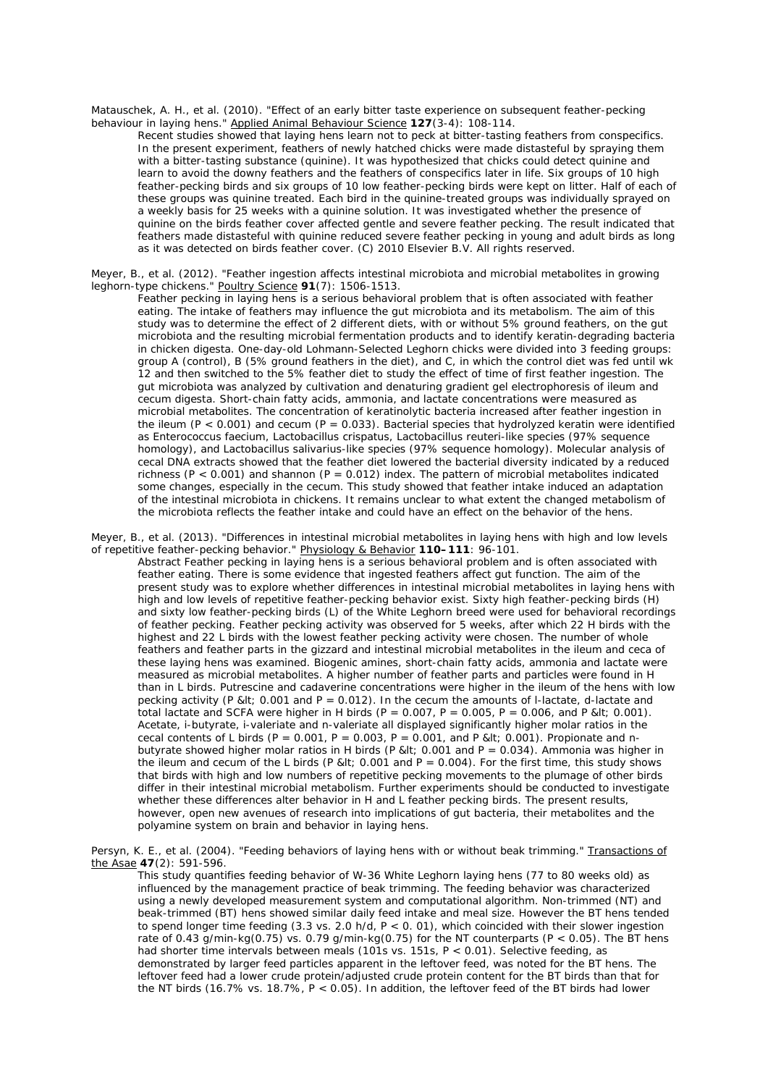Matauschek, A. H., et al. (2010). "Effect of an early bitter taste experience on subsequent feather-pecking behaviour in laying hens." Applied Animal Behaviour Science **127**(3-4): 108-114.

Recent studies showed that laying hens learn not to peck at bitter-tasting feathers from conspecifics. In the present experiment, feathers of newly hatched chicks were made distasteful by spraying them with a bitter-tasting substance (quinine). It was hypothesized that chicks could detect quinine and learn to avoid the downy feathers and the feathers of conspecifics later in life. Six groups of 10 high feather-pecking birds and six groups of 10 low feather-pecking birds were kept on litter. Half of each of these groups was quinine treated. Each bird in the quinine-treated groups was individually sprayed on a weekly basis for 25 weeks with a quinine solution. It was investigated whether the presence of quinine on the birds feather cover affected gentle and severe feather pecking. The result indicated that feathers made distasteful with quinine reduced severe feather pecking in young and adult birds as long as it was detected on birds feather cover. (C) 2010 Elsevier B.V. All rights reserved.

Meyer, B., et al. (2012). "Feather ingestion affects intestinal microbiota and microbial metabolites in growing leghorn-type chickens." Poultry Science **91**(7): 1506-1513.

Feather pecking in laying hens is a serious behavioral problem that is often associated with feather eating. The intake of feathers may influence the gut microbiota and its metabolism. The aim of this study was to determine the effect of 2 different diets, with or without 5% ground feathers, on the gut microbiota and the resulting microbial fermentation products and to identify keratin-degrading bacteria in chicken digesta. One-day-old Lohmann-Selected Leghorn chicks were divided into 3 feeding groups: group A (control), B (5% ground feathers in the diet), and C, in which the control diet was fed until wk 12 and then switched to the 5% feather diet to study the effect of time of first feather ingestion. The gut microbiota was analyzed by cultivation and denaturing gradient gel electrophoresis of ileum and cecum digesta. Short-chain fatty acids, ammonia, and lactate concentrations were measured as microbial metabolites. The concentration of keratinolytic bacteria increased after feather ingestion in the ileum (P < 0.001) and cecum (P = 0.033). Bacterial species that hydrolyzed keratin were identified as Enterococcus faecium, Lactobacillus crispatus, Lactobacillus reuteri-like species (97% sequence homology), and Lactobacillus salivarius-like species (97% sequence homology). Molecular analysis of cecal DNA extracts showed that the feather diet lowered the bacterial diversity indicated by a reduced richness ( $P < 0.001$ ) and shannon ( $P = 0.012$ ) index. The pattern of microbial metabolites indicated some changes, especially in the cecum. This study showed that feather intake induced an adaptation of the intestinal microbiota in chickens. It remains unclear to what extent the changed metabolism of the microbiota reflects the feather intake and could have an effect on the behavior of the hens.

Meyer, B., et al. (2013). "Differences in intestinal microbial metabolites in laying hens with high and low levels of repetitive feather-pecking behavior." Physiology & Behavior **110–111**: 96-101.

Abstract Feather pecking in laying hens is a serious behavioral problem and is often associated with feather eating. There is some evidence that ingested feathers affect gut function. The aim of the present study was to explore whether differences in intestinal microbial metabolites in laying hens with high and low levels of repetitive feather-pecking behavior exist. Sixty high feather-pecking birds (H) and sixty low feather-pecking birds (L) of the White Leghorn breed were used for behavioral recordings of feather pecking. Feather pecking activity was observed for 5 weeks, after which 22 H birds with the highest and 22 L birds with the lowest feather pecking activity were chosen. The number of whole feathers and feather parts in the gizzard and intestinal microbial metabolites in the ileum and ceca of these laying hens was examined. Biogenic amines, short-chain fatty acids, ammonia and lactate were measured as microbial metabolites. A higher number of feather parts and particles were found in H than in L birds. Putrescine and cadaverine concentrations were higher in the ileum of the hens with low pecking activity (P &It; 0.001 and P = 0.012). In the cecum the amounts of I-lactate, d-lactate and total lactate and SCFA were higher in H birds  $(P = 0.007, P = 0.005, P = 0.006,$  and P &It; 0.001). Acetate, i-butyrate, i-valeriate and n-valeriate all displayed significantly higher molar ratios in the cecal contents of L birds (P =  $0.001$ , P =  $0.003$ , P =  $0.001$ , and P &It; 0.001). Propionate and nbutyrate showed higher molar ratios in H birds (P &It; 0.001 and P = 0.034). Ammonia was higher in the ileum and cecum of the L birds (P &It; 0.001 and P = 0.004). For the first time, this study shows that birds with high and low numbers of repetitive pecking movements to the plumage of other birds differ in their intestinal microbial metabolism. Further experiments should be conducted to investigate whether these differences alter behavior in H and L feather pecking birds. The present results, however, open new avenues of research into implications of gut bacteria, their metabolites and the polyamine system on brain and behavior in laying hens.

Persyn, K. E., et al. (2004). "Feeding behaviors of laying hens with or without beak trimming." Transactions of the Asae **47**(2): 591-596.

This study quantifies feeding behavior of W-36 White Leghorn laying hens (77 to 80 weeks old) as influenced by the management practice of beak trimming. The feeding behavior was characterized using a newly developed measurement system and computational algorithm. Non-trimmed (NT) and beak-trimmed (BT) hens showed similar daily feed intake and meal size. However the BT hens tended to spend longer time feeding (3.3 vs. 2.0 h/d,  $P < 0$ , 01), which coincided with their slower ingestion rate of 0.43 g/min-kg(0.75) vs. 0.79 g/min-kg(0.75) for the NT counterparts (P < 0.05). The BT hens had shorter time intervals between meals (101s vs. 151s, P < 0.01). Selective feeding, as demonstrated by larger feed particles apparent in the leftover feed, was noted for the BT hens. The leftover feed had a lower crude protein/adjusted crude protein content for the BT birds than that for the NT birds (16.7% vs. 18.7%, P < 0.05). In addition, the leftover feed of the BT birds had lower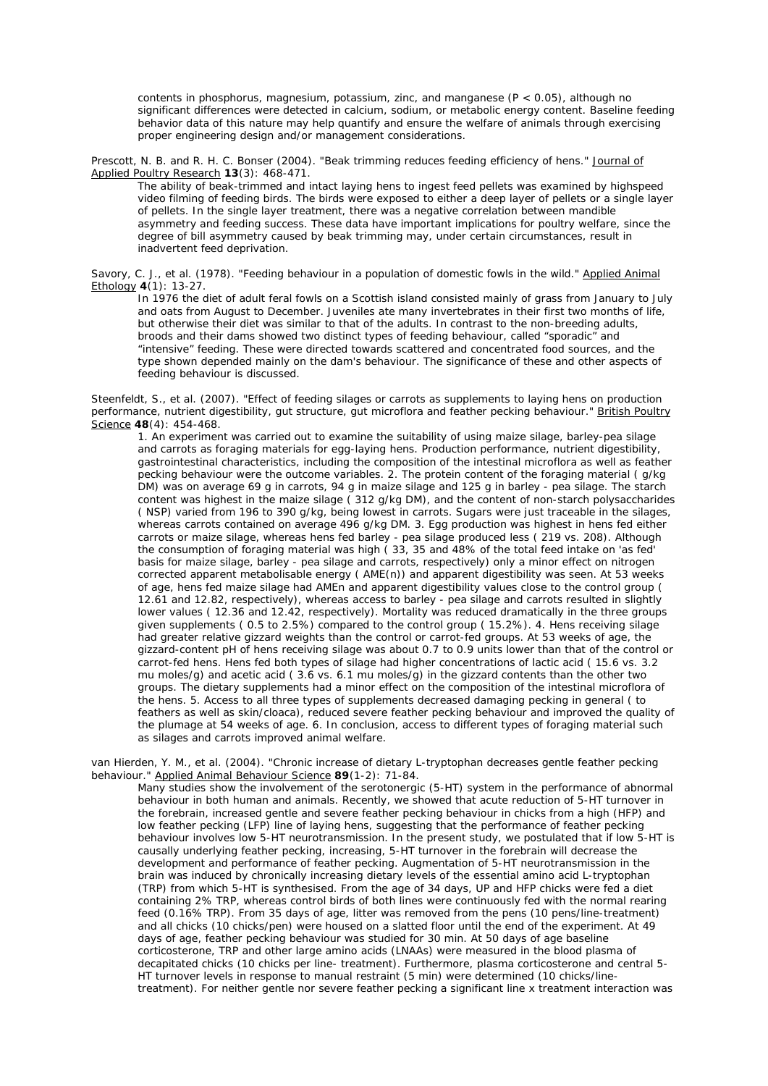contents in phosphorus, magnesium, potassium, zinc, and manganese  $(P < 0.05)$ , although no significant differences were detected in calcium, sodium, or metabolic energy content. Baseline feeding behavior data of this nature may help quantify and ensure the welfare of animals through exercising proper engineering design and/or management considerations.

Prescott, N. B. and R. H. C. Bonser (2004). "Beak trimming reduces feeding efficiency of hens." Journal of Applied Poultry Research **13**(3): 468-471.

The ability of beak-trimmed and intact laying hens to ingest feed pellets was examined by highspeed video filming of feeding birds. The birds were exposed to either a deep layer of pellets or a single layer of pellets. In the single layer treatment, there was a negative correlation between mandible asymmetry and feeding success. These data have important implications for poultry welfare, since the degree of bill asymmetry caused by beak trimming may, under certain circumstances, result in inadvertent feed deprivation.

Savory, C. J., et al. (1978). "Feeding behaviour in a population of domestic fowls in the wild." Applied Animal Ethology **4**(1): 13-27.

In 1976 the diet of adult feral fowls on a Scottish island consisted mainly of grass from January to July and oats from August to December. Juveniles ate many invertebrates in their first two months of life, but otherwise their diet was similar to that of the adults. In contrast to the non-breeding adults, broods and their dams showed two distinct types of feeding behaviour, called "sporadic" and "intensive" feeding. These were directed towards scattered and concentrated food sources, and the type shown depended mainly on the dam's behaviour. The significance of these and other aspects of feeding behaviour is discussed.

Steenfeldt, S., et al. (2007). "Effect of feeding silages or carrots as supplements to laying hens on production performance, nutrient digestibility, gut structure, gut microflora and feather pecking behaviour." British Poultry Science **48**(4): 454-468.

1. An experiment was carried out to examine the suitability of using maize silage, barley-pea silage and carrots as foraging materials for egg-laying hens. Production performance, nutrient digestibility, gastrointestinal characteristics, including the composition of the intestinal microflora as well as feather pecking behaviour were the outcome variables. 2. The protein content of the foraging material ( g/kg DM) was on average 69 g in carrots, 94 g in maize silage and 125 g in barley - pea silage. The starch content was highest in the maize silage ( 312 g/kg DM), and the content of non-starch polysaccharides ( NSP) varied from 196 to 390 g/kg, being lowest in carrots. Sugars were just traceable in the silages, whereas carrots contained on average 496 g/kg DM. 3. Egg production was highest in hens fed either carrots or maize silage, whereas hens fed barley - pea silage produced less ( 219 vs. 208). Although the consumption of foraging material was high ( 33, 35 and 48% of the total feed intake on 'as fed' basis for maize silage, barley - pea silage and carrots, respectively) only a minor effect on nitrogen corrected apparent metabolisable energy ( AME(n)) and apparent digestibility was seen. At 53 weeks of age, hens fed maize silage had AMEn and apparent digestibility values close to the control group ( 12.61 and 12.82, respectively), whereas access to barley - pea silage and carrots resulted in slightly lower values ( 12.36 and 12.42, respectively). Mortality was reduced dramatically in the three groups given supplements ( 0.5 to 2.5%) compared to the control group ( 15.2%). 4. Hens receiving silage had greater relative gizzard weights than the control or carrot-fed groups. At 53 weeks of age, the gizzard-content pH of hens receiving silage was about 0.7 to 0.9 units lower than that of the control or carrot-fed hens. Hens fed both types of silage had higher concentrations of lactic acid ( 15.6 vs. 3.2 mu moles/g) and acetic acid ( 3.6 vs. 6.1 mu moles/g) in the gizzard contents than the other two groups. The dietary supplements had a minor effect on the composition of the intestinal microflora of the hens. 5. Access to all three types of supplements decreased damaging pecking in general ( to feathers as well as skin/cloaca), reduced severe feather pecking behaviour and improved the quality of the plumage at 54 weeks of age. 6. In conclusion, access to different types of foraging material such as silages and carrots improved animal welfare.

van Hierden, Y. M., et al. (2004). "Chronic increase of dietary L-tryptophan decreases gentle feather pecking behaviour." Applied Animal Behaviour Science **89**(1-2): 71-84.

Many studies show the involvement of the serotonergic (5-HT) system in the performance of abnormal behaviour in both human and animals. Recently, we showed that acute reduction of 5-HT turnover in the forebrain, increased gentle and severe feather pecking behaviour in chicks from a high (HFP) and low feather pecking (LFP) line of laying hens, suggesting that the performance of feather pecking behaviour involves low 5-HT neurotransmission. In the present study, we postulated that if low 5-HT is causally underlying feather pecking, increasing, 5-HT turnover in the forebrain will decrease the development and performance of feather pecking. Augmentation of 5-HT neurotransmission in the brain was induced by chronically increasing dietary levels of the essential amino acid L-tryptophan (TRP) from which 5-HT is synthesised. From the age of 34 days, UP and HFP chicks were fed a diet containing 2% TRP, whereas control birds of both lines were continuously fed with the normal rearing feed (0.16% TRP). From 35 days of age, litter was removed from the pens (10 pens/line-treatment) and all chicks (10 chicks/pen) were housed on a slatted floor until the end of the experiment. At 49 days of age, feather pecking behaviour was studied for 30 min. At 50 days of age baseline corticosterone, TRP and other large amino acids (LNAAs) were measured in the blood plasma of decapitated chicks (10 chicks per line- treatment). Furthermore, plasma corticosterone and central 5- HT turnover levels in response to manual restraint (5 min) were determined (10 chicks/linetreatment). For neither gentle nor severe feather pecking a significant line x treatment interaction was